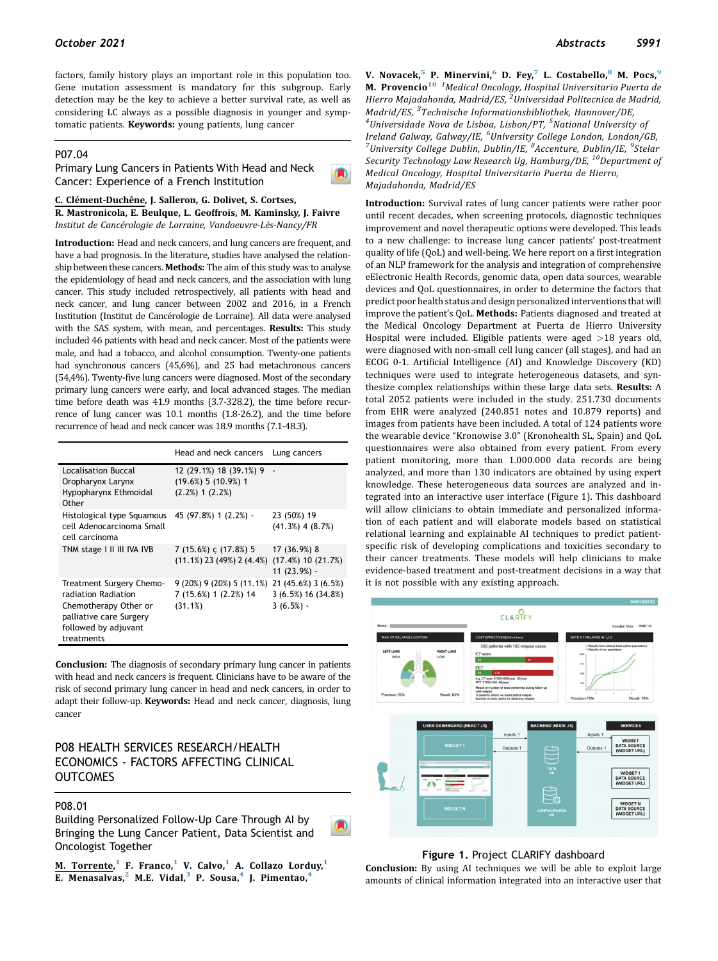factors, family history plays an important role in this population too. Gene mutation assessment is mandatory for this subgroup. Early detection may be the key to achieve a better survival rate, as well as considering LC always as a possible diagnosis in younger and symptomatic patients. Keywords: young patients, lung cancer

# P07.04

Primary Lung Cancers in Patients With Head and Neck Cancer: Experience of a French Institution

C. Clément-Duchêne, J. Salleron, G. Dolivet, S. Cortses,

R. Mastronicola, E. Beulque, L. Geoffrois, M. Kaminsky, J. Faivre Institut de Cancérologie de Lorraine, Vandoeuvre-Lès-Nancy/FR

Introduction: Head and neck cancers, and lung cancers are frequent, and have a bad prognosis. In the literature, studies have analysed the relationship between these cancers. Methods: The aim of this study was to analyse the epidemiology of head and neck cancers, and the association with lung cancer. This study included retrospectively, all patients with head and neck cancer, and lung cancer between 2002 and 2016, in a French Institution (Institut de Cancérologie de Lorraine). All data were analysed with the SAS system, with mean, and percentages. Results: This study included 46 patients with head and neck cancer. Most of the patients were male, and had a tobacco, and alcohol consumption. Twenty-one patients had synchronous cancers (45,6%), and 25 had metachronous cancers (54,4%). Twenty-five lung cancers were diagnosed. Most of the secondary primary lung cancers were early, and local advanced stages. The median time before death was 41.9 months (3.7-328.2), the time before recurrence of lung cancer was 10.1 months (1.8-26.2), and the time before recurrence of head and neck cancer was 18.9 months (7.1-48.3).

|                                                                                                                                           | Head and neck cancers                                                     | Lung cancers                                                |
|-------------------------------------------------------------------------------------------------------------------------------------------|---------------------------------------------------------------------------|-------------------------------------------------------------|
| Localisation Buccal<br>Oropharynx Larynx<br>Hypopharynx Ethmoidal<br>Other                                                                | 12 (29.1%) 18 (39.1%) 9 -<br>$(19.6\%)$ 5 $(10.9\%)$ 1<br>(2.2%) 1 (2.2%) |                                                             |
| Histological type Squamous<br>cell Adenocarcinoma Small<br>cell carcinoma                                                                 | 45 (97.8%) 1 (2.2%) -                                                     | 23 (50%) 19<br>$(41.3\%)$ 4 $(8.7\%)$                       |
| TNM stage I II III IVA IVB                                                                                                                | 7 (15.6%) c (17.8%) 5<br>$(11.1\%)$ 23 (49%) 2 (4.4%)                     | 17 (36.9%) 8<br>$(17.4\%)$ 10 $(21.7\%)$<br>$11(23.9%) -$   |
| Treatment Surgery Chemo-<br>radiation Radiation<br>Chemotherapy Other or<br>palliative care Surgery<br>followed by adjuvant<br>treatments | $9(20\%)$ 9 (20%) 5 (11.1%)<br>7 (15.6%) 1 (2.2%) 14<br>(31.1%)           | 21 (45.6%) 3 (6.5%)<br>$3(6.5\%) 16(34.8\%)$<br>$3(6.5%) -$ |

Conclusion: The diagnosis of secondary primary lung cancer in patients with head and neck cancers is frequent. Clinicians have to be aware of the risk of second primary lung cancer in head and neck cancers, in order to adapt their follow-up. Keywords: Head and neck cancer, diagnosis, lung cancer

# P08 HEALTH SERVICES RESEARCH/HEALTH ECONOMICS - FACTORS AFFECTING CLINICAL **OUTCOMES**

## P08.01

Building Personalized Follow-Up Care Through AI by Bringing the Lung Cancer Patient, Data Scientist and Oncologist Together

M. Torrente,<sup>[1](#page-0-0)</sup> F. Franco,<sup>1</sup> V. Calvo,<sup>1</sup> A. Collazo Lorduy,<sup>1</sup> E. Menasalvas,<sup>[2](#page-0-1)</sup> M.E. Vidal,<sup>[3](#page-0-2)</sup> P. Sousa,<sup>[4](#page-0-2)</sup> J. Pimentao,<sup>4</sup>

<span id="page-0-4"></span><span id="page-0-3"></span><span id="page-0-2"></span><span id="page-0-1"></span><span id="page-0-0"></span>V. Novacek,<sup>[5](#page-0-3)</sup> P. Minervini,<sup>[6](#page-0-4)</sup> D. Fey,<sup>[7](#page-0-4)</sup> L. Costabello,<sup>[8](#page-0-5)</sup> M. Pocs,<sup>[9](#page-0-5)</sup> M. Provencio<sup>[10](#page-0-6) 1</sup>Medical Oncology, Hospital Universitario Puerta de Hierro Majadahonda, Madrid/ES, <sup>2</sup>Universidad Politecnica de Madrid, Madrid/ES, <sup>3</sup>Technische Informationsbibliothek, Hannover/DE,<br><sup>4</sup>Universidade Nova de Lisbog, Lisbon/PT, <sup>5</sup>National University Universidade Nova de Lisboa, Lisbon/PT, <sup>5</sup>National University of Ireland Galway, Galway/IE, <sup>6</sup>University College London, London/GB,<br><sup>7</sup>University College Dublin, Dublin/IE, <sup>8</sup>Accenture, Dublin/IE, <sup>9</sup>Stelar University College Dublin, Dublin/IE, <sup>8</sup>Accenture, Dublin/IE, <sup>9</sup>Stelar Security Technology Law Research Ug, Hamburg/DE, <sup>10</sup>Department of Medical Oncology, Hospital Universitario Puerta de Hierro, Majadahonda, Madrid/ES

<span id="page-0-6"></span><span id="page-0-5"></span>Introduction: Survival rates of lung cancer patients were rather poor until recent decades, when screening protocols, diagnostic techniques improvement and novel therapeutic options were developed. This leads to a new challenge: to increase lung cancer patients' post-treatment quality of life (QoL) and well-being. We here report on a first integration of an NLP framework for the analysis and integration of comprehensive eElectronic Health Records, genomic data, open data sources, wearable devices and QoL questionnaires, in order to determine the factors that predict poor health status and design personalized interventions that will improve the patient's QoL. Methods: Patients diagnosed and treated at the Medical Oncology Department at Puerta de Hierro University Hospital were included. Eligible patients were aged >18 years old, were diagnosed with non-small cell lung cancer (all stages), and had an ECOG 0-1. Artificial Intelligence (AI) and Knowledge Discovery (KD) techniques were used to integrate heterogeneous datasets, and synthesize complex relationships within these large data sets. Results: A total 2052 patients were included in the study. 251.730 documents from EHR were analyzed (240.851 notes and 10.879 reports) and images from patients have been included. A total of 124 patients wore the wearable device "Kronowise 3.0" (Kronohealth SL, Spain) and QoL questionnaires were also obtained from every patient. From every patient monitoring, more than 1.000.000 data records are being analyzed, and more than 130 indicators are obtained by using expert knowledge. These heterogeneous data sources are analyzed and integrated into an interactive user interface (Figure 1). This dashboard will allow clinicians to obtain immediate and personalized information of each patient and will elaborate models based on statistical relational learning and explainable AI techniques to predict patientspecific risk of developing complications and toxicities secondary to their cancer treatments. These models will help clinicians to make evidence-based treatment and post-treatment decisions in a way that it is not possible with any existing approach.



## Figure 1. Project CLARIFY dashboard

Conclusion: By using AI techniques we will be able to exploit large amounts of clinical information integrated into an interactive user that